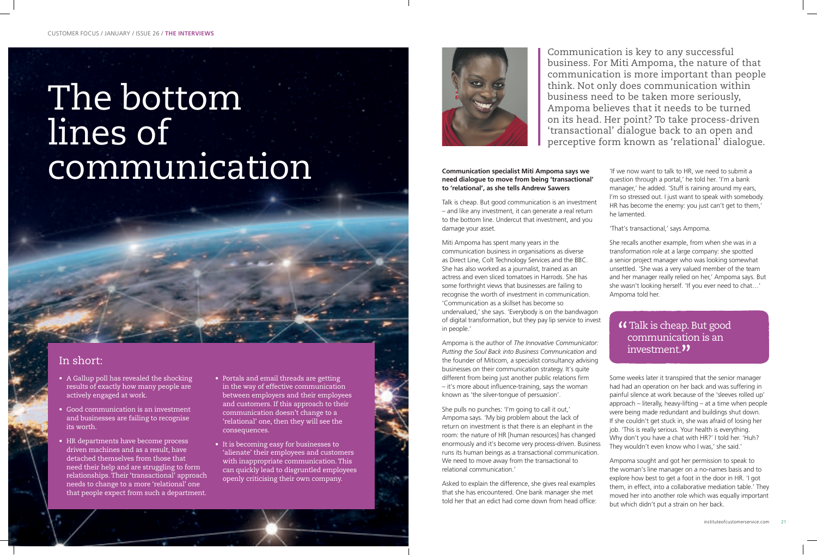# The bottom lines of communication **Communication specialist Miti Ampoma says we**

**need dialogue to move from being 'transactional' to 'relational', as she tells Andrew Sawers** 

Talk is cheap. But good communication is an investment – and like any investment, it can generate a real return to the bottom line. Undercut that investment, and you damage your asset.

Miti Ampoma has spent many years in the communication business in organisations as diverse as Direct Line, Colt Technology Services and the BBC. She has also worked as a journalist, trained as an actress and even sliced tomatoes in Harrods. She has some forthright views that businesses are failing to recognise the worth of investment in communication. 'Communication as a skillset has become so undervalued,' she says. 'Everybody is on the bandwagon of digital transformation, but they pay lip service to invest in people.'

Ampoma is the author of *The Innovative Communicator: Putting the Soul Back into Business Communication* and the founder of Miticom, a specialist consultancy advising businesses on their communication strategy. It's quite different from being just another public relations firm – it's more about influence-training, says the woman known as 'the silver-tongue of persuasion'.

She pulls no punches: 'I'm going to call it out,' Ampoma says. 'My big problem about the lack of return on investment is that there is an elephant in the room: the nature of HR [human resources] has changed enormously and it's become very process-driven. Business runs its human beings as a transactional communication. We need to move away from the transactional to relational communication.'

Asked to explain the difference, she gives real examples that she has encountered. One bank manager she met told her that an edict had come down from head office:

'If we now want to talk to HR, we need to submit a question through a portal,' he told her. 'I'm a bank manager,' he added. 'Stuff is raining around my ears, I'm so stressed out. I just want to speak with somebody. HR has become the enemy: you just can't get to them,' he lamented.

'That's transactional,' says Ampoma.

She recalls another example, from when she was in a transformation role at a large company: she spotted a senior project manager who was looking somewhat unsettled. 'She was a very valued member of the team and her manager really relied on her,' Ampoma says. But she wasn't looking herself. 'If you ever need to chat…' Ampoma told her.

## **"** Talk is cheap. But good<br>communication is an communication is an investment.<sup>"</sup>

Some weeks later it transpired that the senior manager had had an operation on her back and was suffering in painful silence at work because of the 'sleeves rolled up' approach – literally, heavy-lifting – at a time when people were being made redundant and buildings shut down. If she couldn't get stuck in, she was afraid of losing her job. 'This is really serious. Your health is everything. Why don't you have a chat with HR?' I told her. 'Huh? They wouldn't even know who I was,' she said.'

Ampoma sought and got her permission to speak to the woman's line manager on a no-names basis and to explore how best to get a foot in the door in HR. 'I got them, in effect, into a collaborative mediation table.' They moved her into another role which was equally important but which didn't put a strain on her back.

Communication is key to any successful business. For Miti Ampoma, the nature of that communication is more important than people think. Not only does communication within business need to be taken more seriously, Ampoma believes that it needs to be turned on its head. Her point? To take process-driven 'transactional' dialogue back to an open and perceptive form known as 'relational' dialogue.

- A Gallup poll has revealed the shocking results of exactly how many people are actively engaged at work.
- Good communication is an investment and businesses are failing to recognise its worth.
- HR departments have become process driven machines and as a result, have detached themselves from those that need their help and are struggling to form relationships. Their 'transactional' approach needs to change to a more 'relational' one that people expect from such a department.
- Portals and email threads are getting in the way of effective communication between employers and their employees and customers. If this approach to their communication doesn't change to a 'relational' one, then they will see the consequences.
- It is becoming easy for businesses to 'alienate' their employees and customers with inappropriate communication. This can quickly lead to disgruntled employees openly criticising their own company.



# In short: